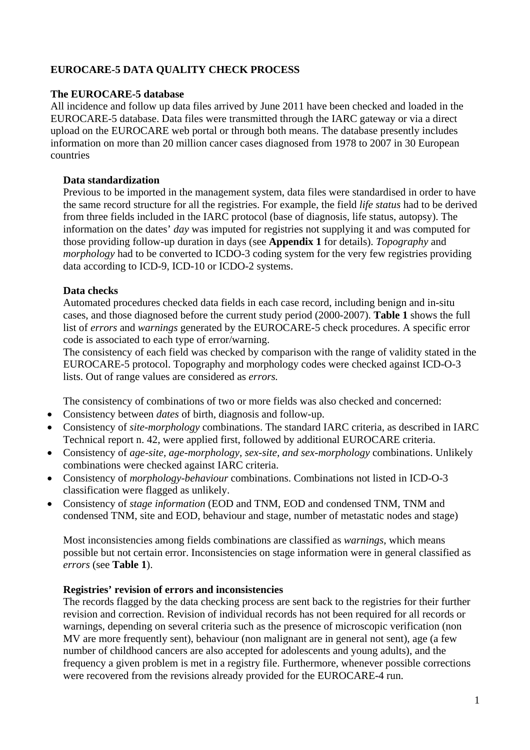# **EUROCARE-5 DATA QUALITY CHECK PROCESS**

# **The EUROCARE-5 database**

All incidence and follow up data files arrived by June 2011 have been checked and loaded in the EUROCARE-5 database. Data files were transmitted through the IARC gateway or via a direct upload on the EUROCARE web portal or through both means. The database presently includes information on more than 20 million cancer cases diagnosed from 1978 to 2007 in 30 European countries

# **Data standardization**

Previous to be imported in the management system, data files were standardised in order to have the same record structure for all the registries. For example, the field *life status* had to be derived from three fields included in the IARC protocol (base of diagnosis, life status, autopsy). The information on the dates' *day* was imputed for registries not supplying it and was computed for those providing follow-up duration in days (see **Appendix 1** for details). *Topography* and *morphology* had to be converted to ICDO-3 coding system for the very few registries providing data according to ICD-9, ICD-10 or ICDO-2 systems.

# **Data checks**

Automated procedures checked data fields in each case record, including benign and in-situ cases, and those diagnosed before the current study period (2000-2007). **Table 1** shows the full list of *errors* and *warnings* generated by the EUROCARE-5 check procedures. A specific error code is associated to each type of error/warning.

The consistency of each field was checked by comparison with the range of validity stated in the EUROCARE-5 protocol. Topography and morphology codes were checked against ICD-O-3 lists. Out of range values are considered as *errors.*

The consistency of combinations of two or more fields was also checked and concerned:

- Consistency between *dates* of birth, diagnosis and follow-up.
- Consistency of *site-morphology* combinations. The standard IARC criteria, as described in IARC Technical report n. 42, were applied first, followed by additional EUROCARE criteria.
- Consistency of *age-site, age-morphology, sex-site, and sex-morphology* combinations. Unlikely combinations were checked against IARC criteria.
- Consistency of *morphology-behaviour* combinations. Combinations not listed in ICD-O-3 classification were flagged as unlikely.
- Consistency of *stage information* (EOD and TNM, EOD and condensed TNM, TNM and condensed TNM, site and EOD, behaviour and stage, number of metastatic nodes and stage)

Most inconsistencies among fields combinations are classified as *warnings*, which means possible but not certain error. Inconsistencies on stage information were in general classified as *errors* (see **Table 1**).

#### **Registries' revision of errors and inconsistencies**

The records flagged by the data checking process are sent back to the registries for their further revision and correction. Revision of individual records has not been required for all records or warnings, depending on several criteria such as the presence of microscopic verification (non MV are more frequently sent), behaviour (non malignant are in general not sent), age (a few number of childhood cancers are also accepted for adolescents and young adults), and the frequency a given problem is met in a registry file. Furthermore, whenever possible corrections were recovered from the revisions already provided for the EUROCARE-4 run.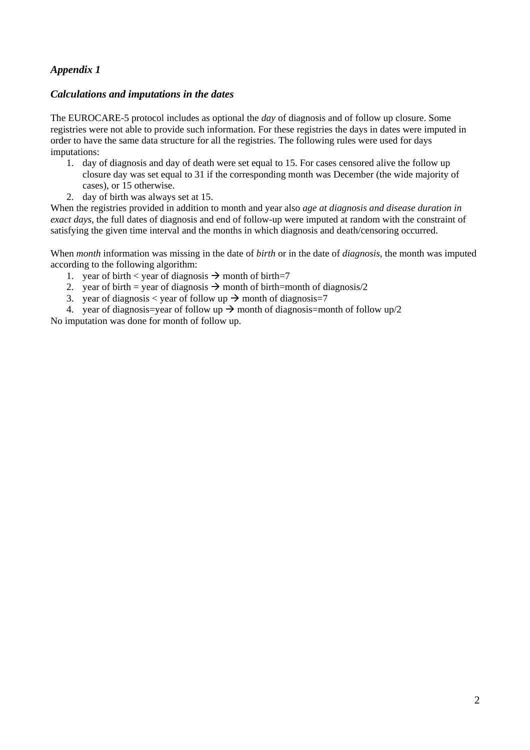# *Appendix 1*

# *Calculations and imputations in the dates*

The EUROCARE-5 protocol includes as optional the *day* of diagnosis and of follow up closure. Some registries were not able to provide such information. For these registries the days in dates were imputed in order to have the same data structure for all the registries. The following rules were used for days imputations:

- 1. day of diagnosis and day of death were set equal to 15. For cases censored alive the follow up closure day was set equal to 31 if the corresponding month was December (the wide majority of cases), or 15 otherwise.
- 2. day of birth was always set at 15.

When the registries provided in addition to month and year also *age at diagnosis and disease duration in exact days*, the full dates of diagnosis and end of follow-up were imputed at random with the constraint of satisfying the given time interval and the months in which diagnosis and death/censoring occurred.

When *month* information was missing in the date of *birth* or in the date of *diagnosis*, the month was imputed according to the following algorithm:

- 1. year of birth < year of diagnosis  $\rightarrow$  month of birth=7
- 2. year of birth = year of diagnosis  $\rightarrow$  month of birth=month of diagnosis/2
- 3. year of diagnosis  $\lt$  year of follow up  $\rightarrow$  month of diagnosis=7
- 4. year of diagnosis=year of follow up  $\rightarrow$  month of diagnosis=month of follow up/2

No imputation was done for month of follow up.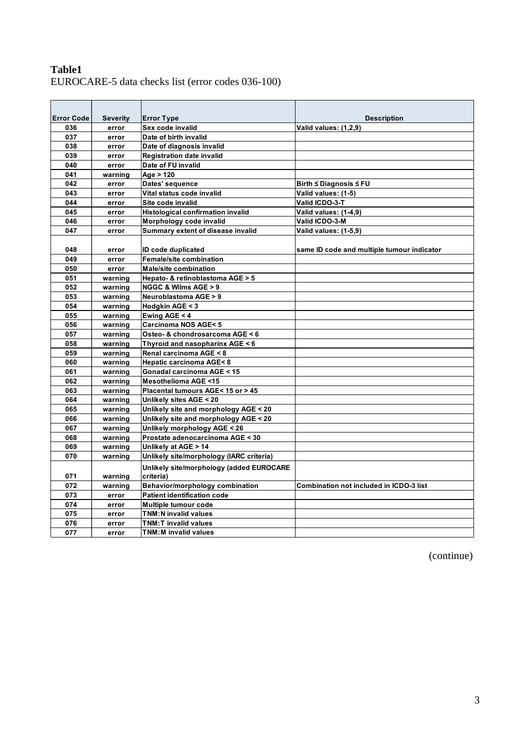# **Table1**  EUROCARE-5 data checks list (error codes 036-100)

| <b>Error Code</b> | <b>Severity</b> | <b>Error Type</b>                        | <b>Description</b>                         |
|-------------------|-----------------|------------------------------------------|--------------------------------------------|
| 036               | error           | Sex code invalid                         | Valid values: (1,2,9)                      |
| 037               | error           | Date of birth invalid                    |                                            |
| 038               | error           | Date of diagnosis invalid                |                                            |
| 039               | error           | <b>Registration date invalid</b>         |                                            |
| 040               | error           | Date of FU invalid                       |                                            |
| 041               | warning         | Age > 120                                |                                            |
| 042               | error           | Dates' sequence                          | Birth $\leq$ Diagnosis $\leq$ FU           |
| 043               | error           | Vital status code invalid                | Valid values: (1-5)                        |
| 044               | error           | Site code invalid                        | Valid ICDO-3-T                             |
| 045               | error           | <b>Histological confirmation invalid</b> | Valid values: (1-4,9)                      |
| 046               | error           | Morphology code invalid                  | Valid ICDO-3-M                             |
| 047               | error           | Summary extent of disease invalid        | Valid values: (1-5,9)                      |
|                   |                 |                                          |                                            |
| 048               | error           | ID code duplicated                       | same ID code and multiple tumour indicator |
| 049               | error           | <b>Female/site combination</b>           |                                            |
| 050               | error           | <b>Male/site combination</b>             |                                            |
| 051               | warning         | Hepato- & retinoblastoma AGE > 5         |                                            |
| 052               | warning         | <b>NGGC &amp; Wilms AGE &gt; 9</b>       |                                            |
| 053               | warning         | <b>Neuroblastoma AGE &gt; 9</b>          |                                            |
| 054               | warning         | Hodgkin AGE < 3                          |                                            |
| 055               | warning         | Ewing AGE < 4                            |                                            |
| 056               | warning         | <b>Carcinoma NOS AGE&lt;5</b>            |                                            |
| 057               | warning         | Osteo- & chondrosarcoma AGE < 6          |                                            |
| 058               | warning         | Thyroid and nasopharinx AGE < 6          |                                            |
| 059               | warning         | Renal carcinoma AGE < 8                  |                                            |
| 060               | warning         | Hepatic carcinoma AGE<8                  |                                            |
| 061               | warning         | Gonadal carcinoma AGE < 15               |                                            |
| 062               | warning         | <b>Mesothelioma AGE &lt;15</b>           |                                            |
| 063               | warning         | Placental tumours AGE< 15 or > 45        |                                            |
| 064               | warning         | Unlikely sites AGE < 20                  |                                            |
| 065               | warning         | Unlikely site and morphology AGE < 20    |                                            |
| 066               | warning         | Unlikely site and morphology AGE < 20    |                                            |
| 067               | warning         | Unlikely morphology AGE < 26             |                                            |
| 068               | warning         | Prostate adenocarcinoma AGE < 30         |                                            |
| 069               | warning         | Unlikely at AGE > 14                     |                                            |
| 070               | warning         | Unlikely site/morphology (IARC criteria) |                                            |
|                   |                 | Unlikely site/morphology (added EUROCARE |                                            |
| 071               | warning         | criteria)                                |                                            |
| 072               | warning         | Behavior/morphology combination          | Combination not included in ICDO-3 list    |
| 073               | error           | <b>Patient identification code</b>       |                                            |
| 074               | error           | Multiple tumour code                     |                                            |
| 075               | error           | <b>TNM:N invalid values</b>              |                                            |
| 076               | error           | <b>TNM:T invalid values</b>              |                                            |
| 077               | error           | <b>TNM:M invalid values</b>              |                                            |

(continue)